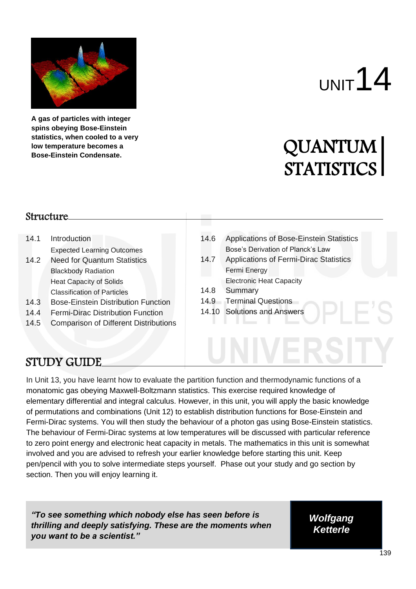

**A gas of particles with integer spins obeying Bose-Einstein statistics, when cooled to a very low temperature becomes a Bose-Einstein Condensate.**

# $U$ NIT<sup>14</sup>

# QUANTUM QUANTUM<br>STATISTICS

#### Structure

- 14.1 Introduction Expected Learning Outcomes
- 14.2 Need for Quantum Statistics Blackbody Radiation Heat Capacity of Solids Classification of Particles
- 14.3 Bose-Einstein Distribution Function
- 14.4 Fermi-Dirac Distribution Function
- 14.5 Comparison of Different Distributions
- 14.6 Applications of Bose-Einstein Statistics Bose's Derivation of Planck's Law
- 14.7 Applications of Fermi-Dirac Statistics Fermi Energy Electronic Heat Capacity
- 14.8 Summary
- 14.9 Terminal Questions
- 14.10 Solutions and Answers

# STUDY GUIDE

In Unit 13, you have learnt how to evaluate the partition function and thermodynamic functions of a monatomic gas obeying Maxwell-Boltzmann statistics. This exercise required knowledge of elementary differential and integral calculus. However, in this unit, you will apply the basic knowledge of permutations and combinations (Unit 12) to establish distribution functions for Bose-Einstein and Fermi-Dirac systems. You will then study the behaviour of a photon gas using Bose-Einstein statistics. The behaviour of Fermi-Dirac systems at low temperatures will be discussed with particular reference to zero point energy and electronic heat capacity in metals. The mathematics in this unit is somewhat involved and you are advised to refresh your earlier knowledge before starting this unit. Keep pen/pencil with you to solve intermediate steps yourself. Phase out your study and go section by section. Then you will enjoy learning it.

*"To see something which nobody else has seen before is thrilling and deeply satisfying. These are the moments when you want to be a scientist."*

*Wolfgang Ketterle*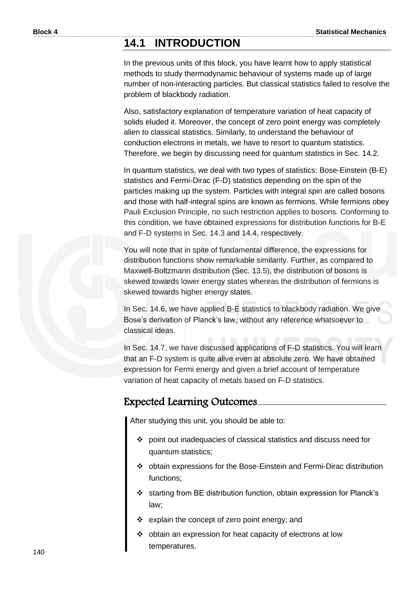# **14.1 INTRODUCTION**

In the previous units of this block, you have learnt how to apply statistical methods to study thermodynamic behaviour of systems made up of large number of non-interacting particles. But classical statistics failed to resolve the problem of blackbody radiation.

Also, satisfactory explanation of temperature variation of heat capacity of solids eluded it. Moreover, the concept of zero point energy was completely alien to classical statistics. Similarly, to understand the behaviour of conduction electrons in metals, we have to resort to quantum statistics. Therefore, we begin by discussing need for quantum statistics in Sec. 14.2.

In quantum statistics, we deal with two types of statistics: Bose-Einstein (B-E) statistics and Fermi-Dirac (F-D) statistics depending on the spin of the particles making up the system. Particles with integral spin are called bosons and those with half-integral spins are known as fermions. While fermions obey Pauli Exclusion Principle, no such restriction applies to bosons. Conforming to this condition, we have obtained expressions for distribution functions for B-E and F-D systems in Sec. 14.3 and 14.4, respectively.

You will note that in spite of fundamental difference, the expressions for distribution functions show remarkable similarity. Further, as compared to Maxwell-Boltzmann distribution (Sec. 13.5), the distribution of bosons is skewed towards lower energy states whereas the distribution of fermions is skewed towards higher energy states.

In Sec. 14.6, we have applied B-E statistics to blackbody radiation. We give Bose's derivation of Planck's law, without any reference whatsoever to classical ideas.

In Sec. 14.7, we have discussed applications of F-D statistics. You will learn that an F-D system is quite alive even at absolute zero. We have obtained expression for Fermi energy and given a brief account of temperature variation of heat capacity of metals based on F-D statistics.

#### Expected Learning Outcomes

After studying this unit, you should be able to:

- ❖ point out inadequacies of classical statistics and discuss need for quantum statistics;
- ❖ obtain expressions for the Bose-Einstein and Fermi-Dirac distribution functions;
- ❖ starting from BE distribution function, obtain expression for Planck's law;
- ❖ explain the concept of zero point energy; and
- ❖ obtain an expression for heat capacity of electrons at low temperatures.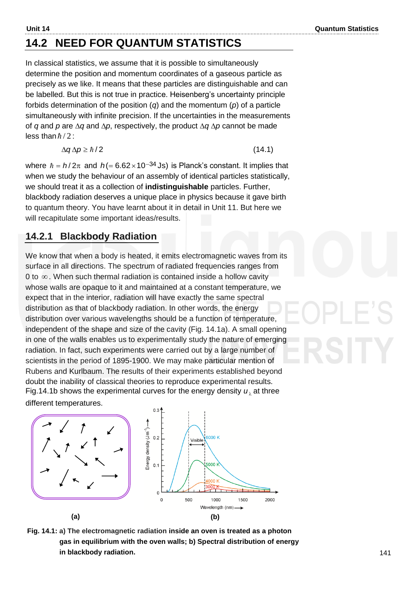$(14.1)$ 

# **14.2 NEED FOR QUANTUM STATISTICS**

In classical statistics, we assume that it is possible to simultaneously determine the position and momentum coordinates of a gaseous particle as precisely as we like. It means that these particles are distinguishable and can be labelled. But this is not true in practice. Heisenberg's uncertainty principle forbids determination of the position (*q*) and the momentum (*p*) of a particle simultaneously with infinite precision. If the uncertainties in the measurements of *q* and *p* are  $\Delta q$  and  $\Delta p$ , respectively, the product  $\Delta q \Delta p$  cannot be made less than  $\hbar/2$  :

$$
\Delta q \Delta p \geq \hbar/2
$$

where  $\hbar = h/2\pi$  and  $h (= 6.62 \times 10^{-34}$  Js) is Planck's constant. It implies that when we study the behaviour of an assembly of identical particles statistically, we should treat it as a collection of **indistinguishable** particles. Further, blackbody radiation deserves a unique place in physics because it gave birth to quantum theory. You have learnt about it in detail in Unit 11. But here we will recapitulate some important ideas/results.

#### **14.2.1 Blackbody Radiation**

We know that when a body is heated, it emits electromagnetic waves from its surface in all directions. The spectrum of radiated frequencies ranges from 0 to ∞. When such thermal radiation is contained inside a hollow cavity whose walls are opaque to it and maintained at a constant temperature, we expect that in the interior, radiation will have exactly the same spectral distribution as that of blackbody radiation. In other words, the energy distribution over various wavelengths should be a function of temperature, independent of the shape and size of the cavity (Fig. 14.1a). A small opening in one of the walls enables us to experimentally study the nature of emerging radiation. In fact, such experiments were carried out by a large number of scientists in the period of 1895-1900. We may make particular mention of Rubens and Kurlbaum. The results of their experiments established beyond doubt the inability of classical theories to reproduce experimental results. Fig.14.1b shows the experimental curves for the energy density  $\pmb{\mathit{u}}_{\lambda}$  at three

different temperatures.



 **Fig. 14.1: a) The electromagnetic radiation inside an oven is treated as a photon gas in equilibrium with the oven walls; b) Spectral distribution of energy in blackbody radiation.**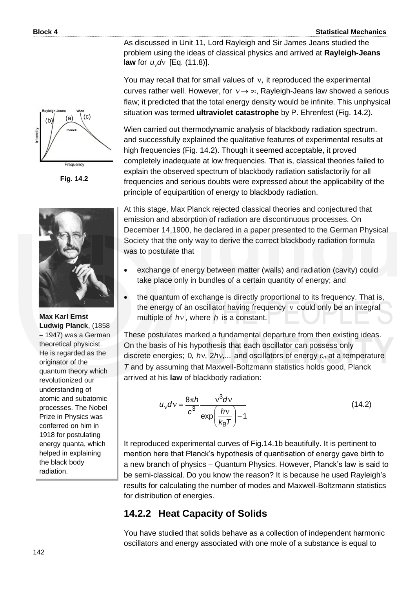As discussed in Unit 11, Lord Rayleigh and Sir James Jeans studied the problem using the ideas of classical physics and arrived at **Rayleigh-Jeans**  law for  $u_v$ dv [Eq. (11.8)].

You may recall that for small values of v, it reproduced the experimental curves rather well. However, for  $v \rightarrow \infty$ , Rayleigh-Jeans law showed a serious flaw; it predicted that the total energy density would be infinite. This unphysical situation was termed **ultraviolet catastrophe** by P. Ehrenfest (Fig. 14.2).

Wien carried out thermodynamic analysis of blackbody radiation spectrum. and successfully explained the qualitative features of experimental results at high frequencies (Fig. 14.2). Though it seemed acceptable, it proved completely inadequate at low frequencies. That is, classical theories failed to explain the observed spectrum of blackbody radiation satisfactorily for all frequencies and serious doubts were expressed about the applicability of the principle of equipartition of energy to blackbody radiation.

At this stage, Max Planck rejected classical theories and conjectured that emission and absorption of radiation are discontinuous processes. On December 14,1900, he declared in a paper presented to the German Physical Society that the only way to derive the correct blackbody radiation formula was to postulate that

- exchange of energy between matter (walls) and radiation (cavity) could take place only in bundles of a certain quantity of energy; and
- the quantum of exchange is directly proportional to its frequency. That is, the energy of an oscillator having frequency v could only be an integral multiple of *h* , where *h* is a constant.

These postulates marked a fundamental departure from then existing ideas. On the basis of his hypothesis that each oscillator can possess only discrete energies; 0,  $hv$ ,  $2hv$ ,... and oscillators of energy  $\varepsilon_n$  at a temperature *T* and by assuming that Maxwell-Boltzmann statistics holds good, Planck arrived at his **law** of blackbody radiation:

$$
u_{\rm v}d\rm v = \frac{8\pi h}{c^3} \frac{\rm v^3 d\rm v}{\exp\left(\frac{h\rm v}{k_{\rm B}T}\right) - 1}
$$
\n(14.2)

It reproduced experimental curves of Fig.14.1b beautifully. It is pertinent to mention here that Planck's hypothesis of quantisation of energy gave birth to a new branch of physics − Quantum Physics. However, Planck's law is said to be semi-classical. Do you know the reason? It is because he used Rayleigh's results for calculating the number of modes and Maxwell-Boltzmann statistics for distribution of energies.

#### **14.2.2 Heat Capacity of Solids**

You have studied that solids behave as a collection of independent harmonic oscillators and energy associated with one mole of a substance is equal to



**Fig. 14.2**



**Max Karl Ernst Ludwig Planck**, (1858 − 1947) was a German theoretical physicist. He is regarded as the originator of the quantum theory which revolutionized our understanding of atomic and subatomic processes. The Nobel Prize in Physics was conferred on him in 1918 for postulating energy quanta, which helped in explaining the black body radiation.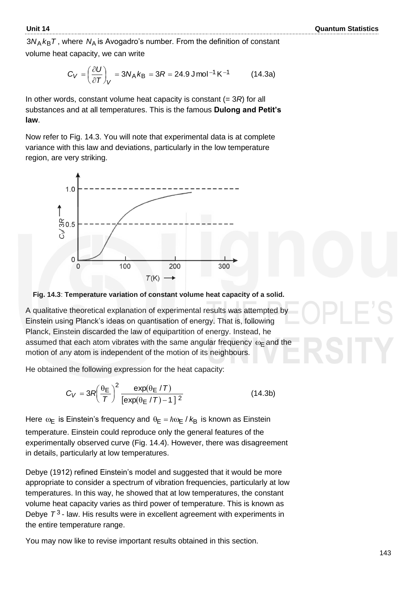$3N_\text{A}\,k_\text{B}\mathcal{T}$  , where  $\,N_\text{A}$  is Avogadro's number. From the definition of constant volume heat capacity, we can write

$$
C_V = \left(\frac{\partial U}{\partial T}\right)_V = 3N_A k_B = 3R = 24.9 \text{ J} \text{mol}^{-1} \text{K}^{-1}
$$
 (14.3a)

In other words, constant volume heat capacity is constant (= 3*R*) for all substances and at all temperatures. This is the famous **Dulong and Petit's law**.

Now refer to Fig. 14.3. You will note that experimental data is at complete variance with this law and deviations, particularly in the low temperature region, are very striking.





A qualitative theoretical explanation of experimental results was attempted by Einstein using Planck's ideas on quantisation of energy. That is, following Planck, Einstein discarded the law of equipartition of energy. Instead, he assumed that each atom vibrates with the same angular frequency  $\omega_\mathsf{E}$  and the motion of any atom is independent of the motion of its neighbours.

He obtained the following expression for the heat capacity:

$$
C_V = 3R \left(\frac{\theta_{\rm E}}{T}\right)^2 \frac{\exp(\theta_{\rm E}/T)}{[\exp(\theta_{\rm E}/T)-1]^2}
$$
 (14.3b)

Here  $\omega_{\textsf{E}}$  is Einstein's frequency and  $\theta_{\textsf{E}}$  =  $\hbar\omega_{\textsf{E}}$  /  $k_{\textsf{B}}$  is known as Einstein temperature. Einstein could reproduce only the general features of the experimentally observed curve (Fig. 14.4). However, there was disagreement in details, particularly at low temperatures.

Debye (1912) refined Einstein's model and suggested that it would be more appropriate to consider a spectrum of vibration frequencies, particularly at low temperatures. In this way, he showed that at low temperatures, the constant volume heat capacity varies as third power of temperature. This is known as Debye *T* 3 - law. His results were in excellent agreement with experiments in the entire temperature range.

You may now like to revise important results obtained in this section.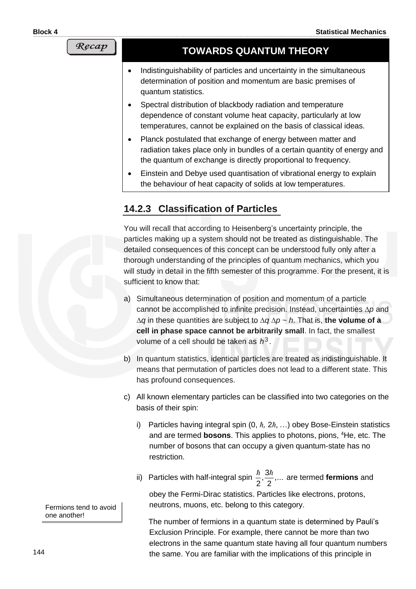#### Recap

## **TOWARDS QUANTUM THEORY**

- Indistinguishability of particles and uncertainty in the simultaneous determination of position and momentum are basic premises of quantum statistics.
- Spectral distribution of blackbody radiation and temperature dependence of constant volume heat capacity, particularly at low temperatures, cannot be explained on the basis of classical ideas.
- Planck postulated that exchange of energy between matter and radiation takes place only in bundles of a certain quantity of energy and the quantum of exchange is directly proportional to frequency.
- Einstein and Debye used quantisation of vibrational energy to explain the behaviour of heat capacity of solids at low temperatures.

## **14.2.3 Classification of Particles**

You will recall that according to Heisenberg's uncertainty principle, the particles making up a system should not be treated as distinguishable. The detailed consequences of this concept can be understood fully only after a thorough understanding of the principles of quantum mechanics, which you will study in detail in the fifth semester of this programme. For the present, it is sufficient to know that:

- a) Simultaneous determination of position and momentum of a particle cannot be accomplished to infinite precision. Instead, uncertainties  $\Delta p$  and  $\Delta q$  in these quantities are subject to  $\Delta q \Delta p \sim h$ . That is, the volume of a **cell in phase space cannot be arbitrarily small**. In fact, the smallest volume of a cell should be taken as  $h^3$ .
- b) In quantum statistics, identical particles are treated as indistinguishable. It means that permutation of particles does not lead to a different state. This has profound consequences.
- c) All known elementary particles can be classified into two categories on the basis of their spin:
	- i) Particles having integral spin (0, *ħ,* 2*ħ*, …) obey Bose-Einstein statistics and are termed **bosons**. This applies to photons, pions, <sup>4</sup>He, etc. The number of bosons that can occupy a given quantum-state has no restriction.
	- ii) Particles with half-integral spin  $\frac{n}{2}, \frac{5n}{2}, \dots$ 2  $\frac{3}{2}$ 2  $\frac{\hbar}{\sigma}, \frac{3\hbar}{\sigma}, \ldots$  are termed **fermions** and obey the Fermi-Dirac statistics. Particles like electrons, protons, neutrons, muons, etc. belong to this category.

The number of fermions in a quantum state is determined by Pauli's Exclusion Principle. For example, there cannot be more than two electrons in the same quantum state having all four quantum numbers the same. You are familiar with the implications of this principle in

Fermions tend to avoid one another!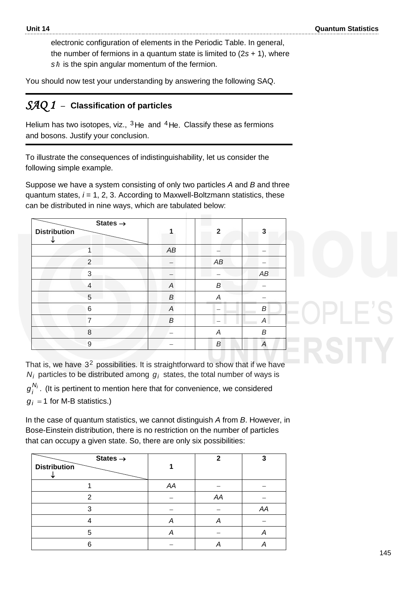electronic configuration of elements in the Periodic Table. In general, the number of fermions in a quantum state is limited to (2*s* + 1), where *s* is the spin angular momentum of the fermion.

You should now test your understanding by answering the following SAQ.

#### *SAQ 1* –**Classification of particles**

Helium has two isotopes, viz.,  $3$ He and  $4$ He. Classify these as fermions and bosons. Justify your conclusion.

To illustrate the consequences of indistinguishability, let us consider the following simple example.

Suppose we have a system consisting of only two particles *A* and *B* and three quantum states, *i* = 1, 2, 3. According to Maxwell-Boltzmann statistics, these can be distributed in nine ways, which are tabulated below:

| States $\rightarrow$<br><b>Distribution</b> |                          | $\mathbf{2}$ | 3                |
|---------------------------------------------|--------------------------|--------------|------------------|
|                                             | AB                       |              |                  |
| $\overline{2}$                              |                          | AB           |                  |
| 3                                           |                          |              | AB               |
| 4                                           | $\boldsymbol{A}$         | B            |                  |
| 5                                           | B                        | А            |                  |
| 6                                           | $\overline{\mathcal{A}}$ |              | $\boldsymbol{B}$ |
| $\overline{7}$                              | B                        |              | A                |
| 8                                           |                          | A            | B                |
| $9$                                         |                          | В            | Α                |

That is, we have  $3^2$  possibilities. It is straightforward to show that if we have  $N_i$  particles to be distributed among  $g_i$  states, the total number of ways is

. *Ni*  $g_i^{\prime\prime\prime}$ . (It is pertinent to mention here that for convenience, we considered  $g_i$  = 1 for M-B statistics.)

In the case of quantum statistics, we cannot distinguish *A* from *B*. However, in Bose-Einstein distribution, there is no restriction on the number of particles that can occupy a given state. So, there are only six possibilities:

| States $\rightarrow$<br><b>Distribution</b> |    | ◠  | o  |
|---------------------------------------------|----|----|----|
|                                             | AA |    |    |
| າ                                           |    | AA |    |
|                                             |    |    | AA |
|                                             |    | А  |    |
| г,                                          |    |    |    |
| ิค                                          |    |    |    |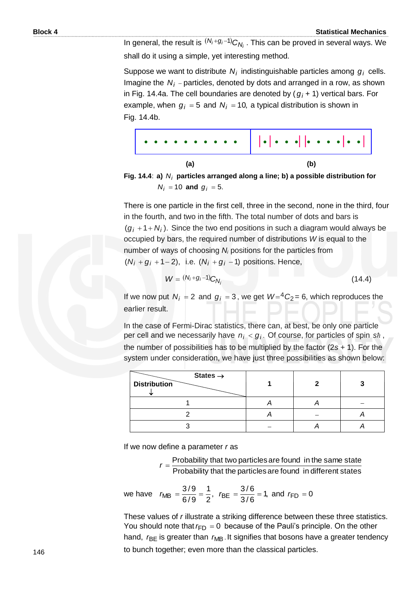In general, the result is  $(N_i+g_i-1)C_{N_i}$  . This can be proved in several ways. We shall do it using a simple, yet interesting method.

Suppose we want to distribute  $N_i$  indistinguishable particles among  $g_i$  cells. Imagine the *Ni* − particles, denoted by dots and arranged in a row, as shown in Fig. 14.4a. The cell boundaries are denoted by ( *gi +* 1) vertical bars. For example, when  $g_i = 5$  and  $N_i = 10$ , a typical distribution is shown in Fig. 14.4b.



**Fig. 14.4**: **a)**  *Ni* **particles arranged along a line; b) a possible distribution for**   $N_i = 10$  and  $g_i = 5$ .

There is one particle in the first cell, three in the second, none in the third, four in the fourth, and two in the fifth. The total number of dots and bars is  $(g_i + 1 + N_i)$ . Since the two end positions in such a diagram would always be occupied by bars, the required number of distributions *W* is equal to the number of ways of choosing *N<sup>i</sup>* positions for the particles from  $(N_i + g_i + 1 - 2)$ , i.e.  $(N_i + g_i - 1)$  positions. Hence,

$$
W = (N_i + g_i - 1)C_{N_i}
$$
 (14.4)

If we now put  $N_i = 2$  and  $g_i = 3$ , we get  $W = {}^4C_2 = 6$ , which reproduces the earlier result.

In the case of Fermi-Dirac statistics, there can, at best, be only one particle per cell and we necessarily have  $n_i < g_i$ . Of course, for particles of spin sh, the number of possibilities has to be multiplied by the factor (2*s* + 1). For the system under consideration, we have just three possibilities as shown below:

| States $\rightarrow$<br><b>Distribution</b> |  |  |
|---------------------------------------------|--|--|
|                                             |  |  |
|                                             |  |  |
|                                             |  |  |

If we now define a parameter *r* as

Probability that the particles are found in different states Probability that two particles are found in the same state *r* =

we have 
$$
r_{MB} = \frac{3/9}{6/9} = \frac{1}{2}
$$
,  $r_{BE} = \frac{3/6}{3/6} = 1$ , and  $r_{FD} = 0$ 

These values of *r* illustrate a striking difference between these three statistics. You should note that  $r_{FD} = 0$  because of the Pauli's principle. On the other hand, *r*<sub>BE</sub> is greater than *r*<sub>MB</sub>. It signifies that bosons have a greater tendency to bunch together; even more than the classical particles.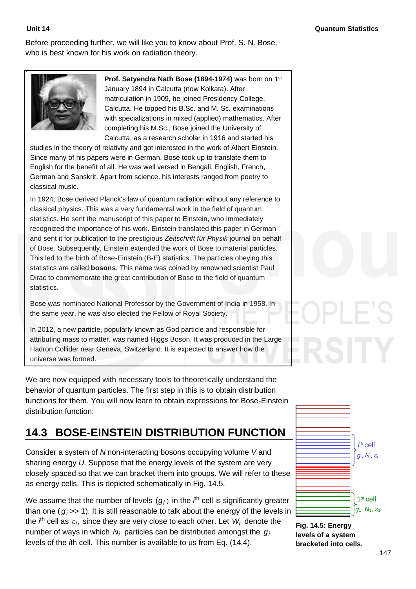Before proceeding further, we will like you to know about Prof. S. N. Bose, who is best known for his work on radiation theory.



**Prof. Satyendra Nath Bose (1894-1974)** was born on 1st January 1894 in Calcutta (now Kolkata). After matriculation in 1909, he joined Presidency College, Calcutta. He topped his B.Sc. and M. Sc. examinations with specializations in mixed (applied) mathematics. After completing his M.Sc., Bose joined the University of Calcutta, as a research scholar in 1916 and started his

studies in the theory of relativity and got interested in the work of Albert Einstein. Since many of his papers were in German, Bose took up to translate them to English for the benefit of all. He was well versed in Bengali, English, French, German and Sanskrit. Apart from science, his interests ranged from poetry to classical music.

In 1924, Bose derived Planck's law of quantum radiation without any reference to classical physics. This was a very fundamental work in the field of quantum statistics. He sent the manuscript of this paper to Einstein, who immediately recognized the importance of his work. Einstein translated this paper in German and sent it for publication to the prestigious *Zeitschrift für Physik* journal on behalf of Bose. Subsequently, Einstein extended the work of Bose to material particles. This led to the birth of Bose-Einstein (B-E) statistics. The particles obeying this statistics are called **bosons**. This name was coined by renowned scientist Paul Dirac to commemorate the great contribution of Bose to the field of quantum statistics.

Bose was nominated National Professor by the Government of India in 1958. In the same year, he was also elected the Fellow of Royal Society.

In 2012, a new particle, popularly known as God particle and responsible for attributing mass to matter, was named Higgs Boson. It was produced in the Large Hadron Collider near Geneva, Switzerland. It is expected to answer how the universe was formed.

We are now equipped with necessary tools to theoretically understand the behavior of quantum particles. The first step in this is to obtain distribution functions for them. You will now learn to obtain expressions for Bose-Einstein distribution function.

# **14.3 BOSE-EINSTEIN DISTRIBUTION FUNCTION**

Consider a system of *N* non-interacting bosons occupying volume *V* and sharing energy *U*. Suppose that the energy levels of the system are very closely spaced so that we can bracket them into groups. We will refer to these as energy cells. This is depicted schematically in Fig. 14.5.

We assume that the number of levels  $(g_i)$  in the  $t^{\text{th}}$  cell is significantly greater than one ( *gi* >> 1). It is still reasonable to talk about the energy of the levels in the  $i^{\text{th}}$  cell as  $\varepsilon_i$ , since they are very close to each other. Let  $W_i$  denote the number of ways in which  $N_i$  particles can be distributed amongst the  $g_i$ levels of the *i*th cell. This number is available to us from Eq. (14.4).



**Fig. 14.5: Energy levels of a system bracketed into cells.**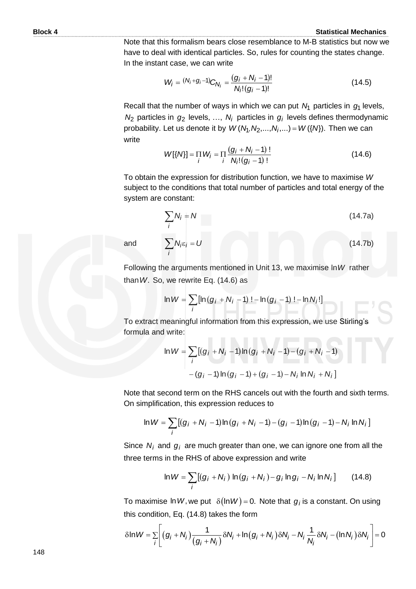(14.7b)

Note that this formalism bears close resemblance to M-B statistics but now we have to deal with identical particles. So, rules for counting the states change. In the instant case, we can write

$$
W_{i} = {}^{(N_{i}+g_{i}-1)}C_{N_{i}} = \frac{(g_{i}+N_{i}-1)!}{N_{i}!(g_{i}-1)!}
$$
\n(14.5)

Recall that the number of ways in which we can put  $N_1$  particles in  $g_1$  levels,  $N_2$  particles in  $g_2$  levels, ...,  $N_i$  particles in  $g_i$  levels defines thermodynamic probability. Let us denote it by  $W(N_1, N_2,..., N_i,...) = W(\lbrace N \rbrace)$ . Then we can write

$$
W[\{N\}] = \prod_{i} W_{i} = \prod_{i} \frac{(g_{i} + N_{i} - 1)!}{N_{i}!(g_{i} - 1)!}
$$
 (14.6)

To obtain the expression for distribution function, we have to maximise *W*  subject to the conditions that total number of particles and total energy of the system are constant:

$$
\sum_{i} N_{i} = N \tag{14.7a}
$$

and

 $N_i \varepsilon_i = U$ 

 $\sum N_i \varepsilon_i =$ 

*i*

Following the arguments mentioned in Unit 13, we maximise ln*W* rather than *W*. So, we rewrite Eq. (14.6) as

we rewrite Eq. (14.6) as  
\n
$$
\ln W = \sum_{i} [\ln (g_i + N_i - 1) \cdot - \ln (g_i - 1) \cdot - \ln N_i!]
$$

To extract meaningful information from this expression, we use Stirling's formula and write:

$$
\ln W = \sum_{i} [(g_i + N_i - 1) \ln (g_i + N_i - 1) - (g_i + N_i - 1)
$$

$$
- (g_i - 1) \ln (g_i - 1) + (g_i - 1) - N_i \ln N_i + N_i]
$$

Note that second term on the RHS cancels out with the fourth and sixth terms.<br>On simplification, this expression reduces to<br> $\ln W = \sum_i [(g_i + N_i - 1) \ln (g_i + N_i - 1) - (g_i - 1) \ln (g_i - 1) - N_i \ln N_i]$ On simplification, this expression reduces to

$$
\ln W = \sum_{i} [(g_i + N_i - 1) \ln (g_i + N_i - 1) - (g_i - 1) \ln (g_i - 1) - N_i \ln N_i]
$$

Since  $N_i$  and  $g_i$  are much greater than one, we can ignore one from all the

three terms in the RHS of above expression and write  
\n
$$
\ln W = \sum_{i} [(g_i + N_i) \ln(g_i + N_i) - g_i \ln g_i - N_i \ln N_i]
$$
 (14.8)

this condition, Eq. (14.8) takes the form

To maximise In *W*, we put 
$$
\delta(\ln W) = 0
$$
. Note that  $g_i$  is a constant. On using  
this condition, Eq. (14.8) takes the form  

$$
\delta \ln W = \sum_{i} \left[ (g_i + N_i) \frac{1}{(g_i + N_i)} \delta N_i + \ln(g_i + N_i) \delta N_i - N_i \frac{1}{N_i} \delta N_i - (\ln N_i) \delta N_i \right] = 0
$$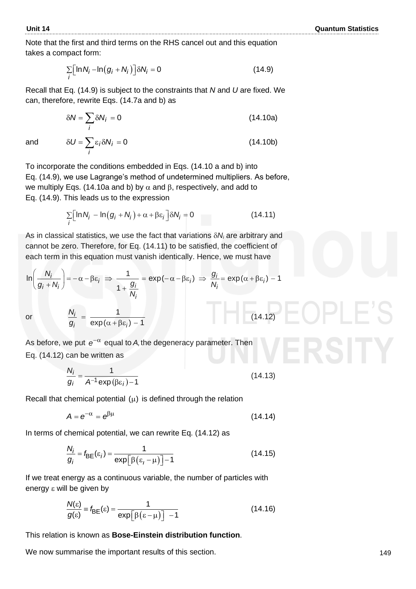Note that the first and third terms on the RHS cancel out and this equation takes a compact form:

$$
\sum_{i} \left[ \ln N_i - \ln(g_i + N_i) \right] \delta N_i = 0 \tag{14.9}
$$

Recall that Eq. (14.9) is subject to the constraints that *N* and *U* are fixed. We can, therefore, rewrite Eqs. (14.7a and b) as

$$
\delta N = \sum_{i} \delta N_{i} = 0 \tag{14.10a}
$$

(14.10b)

and

To incorporate the conditions embedded in Eqs. (14.10 a and b) into Eq. (14.9), we use Lagrange's method of undetermined multipliers. As before, we multiply Eqs. (14.10a and b) by  $\alpha$  and  $\beta$ , respectively, and add to

Eq. (14.9). This leads us to the expression  
\n
$$
\sum_{i} \left[ \ln N_i - \ln(g_i + N_i) + \alpha + \beta \varepsilon_i \right] \delta N_i = 0 \qquad (14.11)
$$

As in classical statistics, we use the fact that variations *N<sup>i</sup>* are arbitrary and cannot be zero. Therefore, for Eq. (14.11) to be satisfied, the coefficient of each term in this equation must vanish identically. Hence, we must have

cannot be zero. Therefore, for Eq. (14.11) to be satisfied, the coefficient of  
each term in this equation must vanish identically. Hence, we must have  

$$
\ln\left(\frac{N_i}{g_i + N_i}\right) = -\alpha - \beta \epsilon_i \implies \frac{1}{1 + \frac{g_i}{N_i}} = \exp(-\alpha - \beta \epsilon_i) \implies \frac{g_i}{N_i} = \exp(\alpha + \beta \epsilon_i) - 1
$$
  
or 
$$
\frac{N_i}{N_i} = \frac{1}{\sqrt{N_i}} = \frac{1}{\sqrt{N_i}} = \frac{1}{\sqrt{N_i}} = \frac{1}{\sqrt{N_i}} = \frac{1}{\sqrt{N_i}} = \frac{1}{\sqrt{N_i}} = \frac{1}{\sqrt{N_i}} = \frac{1}{\sqrt{N_i}} = \frac{1}{\sqrt{N_i}} = \frac{1}{\sqrt{N_i}} = \frac{1}{\sqrt{N_i}} = \frac{1}{\sqrt{N_i}} = \frac{1}{\sqrt{N_i}} = \frac{1}{\sqrt{N_i}} = \frac{1}{\sqrt{N_i}} = \frac{1}{\sqrt{N_i}} = \frac{1}{\sqrt{N_i}} = \frac{1}{\sqrt{N_i}} = \frac{1}{\sqrt{N_i}} = \frac{1}{\sqrt{N_i}} = \frac{1}{\sqrt{N_i}} = \frac{1}{\sqrt{N_i}} = \frac{1}{\sqrt{N_i}} = \frac{1}{\sqrt{N_i}} = \frac{1}{\sqrt{N_i}} = \frac{1}{\sqrt{N_i}} = \frac{1}{\sqrt{N_i}} = \frac{1}{\sqrt{N_i}} = \frac{1}{\sqrt{N_i}} = \frac{1}{\sqrt{N_i}} = \frac{1}{\sqrt{N_i}} = \frac{1}{\sqrt{N_i}} = \frac{1}{\sqrt{N_i}} = \frac{1}{\sqrt{N_i}} = \frac{1}{\sqrt{N_i}} = \frac{1}{\sqrt{N_i}} = \frac{1}{\sqrt{N_i}} = \frac{1}{\sqrt{N_i}} = \frac{1}{\sqrt{N_i}} = \frac{1}{\sqrt{N_i}} = \frac{1}{\sqrt{N_i}} = \frac{1}{\sqrt{N_i}} = \frac{1}{\sqrt{N_i}} = \frac{1}{\sqrt{N_i}} = \frac{1}{\sqrt{N_i}} = \frac{1}{\sqrt{N_i}} = \frac{1}{\sqrt{N_i}} = \frac{1}{\sqrt{N_i}} = \frac{1}{\sqrt{N_i}} = \frac{1}{\sqrt{N_i}} = \frac{1}{\sqrt{N_i}}
$$

or

 $=\frac{1}{\exp(\alpha+\beta\epsilon_i)-1}$ 1  $\frac{y_i}{y_i} = \frac{1}{\exp(\alpha + \beta \varepsilon_i) - 1}$  $\alpha_i$  exp( $\alpha + \beta \varepsilon_i$ *N g*

 $\delta U = \sum \varepsilon_i \delta N_i = 0$ *i U* =  $\sum$  ε<sub>*i*</sub>δN<sub>*i*</sub>

As before, we put  $e^{-\alpha}$  equal to A, the degeneracy parameter. Then Eq. (14.12) can be written as

$$
\frac{N_i}{g_i} = \frac{1}{A^{-1} \exp(\beta \varepsilon_i) - 1}
$$
 (14.13)

Recall that chemical potential  $(\mu)$  is defined through the relation

$$
A = e^{-\alpha} = e^{\beta \mu} \tag{14.14}
$$

In terms of chemical potential, we can rewrite Eq. (14.12) as

$$
\frac{N_i}{g_i} = f_{\text{BE}}(\varepsilon_i) = \frac{1}{\exp[\beta(\varepsilon_i - \mu)] - 1}
$$
(14.15)

If we treat energy as a continuous variable, the number of particles with energy  $\epsilon$  will be given by

$$
\frac{N(\varepsilon)}{g(\varepsilon)} \equiv f_{\text{BE}}(\varepsilon) = \frac{1}{\exp[\beta(\varepsilon - \mu)] - 1}
$$
(14.16)

This relation is known as **Bose-Einstein distribution function**.

We now summarise the important results of this section.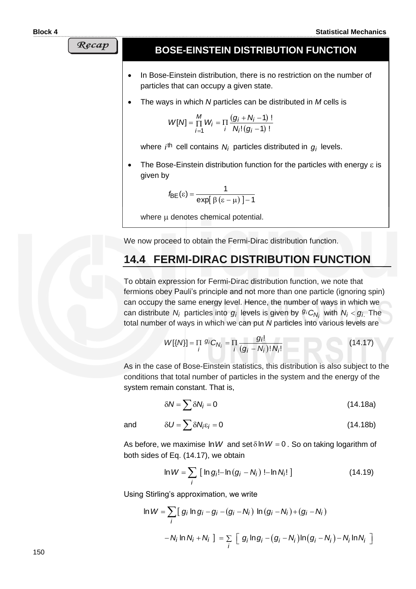Recap

#### **BOSE-EINSTEIN DISTRIBUTION FUNCTION**

- In Bose-Einstein distribution, there is no restriction on the number of particles that can occupy a given state.
- The ways in which *N* particles can be distributed in *M* cells is

$$
W[N] = \prod_{i=1}^{M} W_i = \prod_{i} \frac{(g_i + N_i - 1) !}{N_i! (g_i - 1) !}
$$

where *i*<sup>th</sup> cell contains N<sub>i</sub> particles distributed in  $g_i$  levels.

The Bose-Einstein distribution function for the particles with energy  $\varepsilon$  is given by

$$
f_{\text{BE}}(\varepsilon) = \frac{1}{\exp[\beta(\varepsilon - \mu)] - 1}
$$

where  $\mu$  denotes chemical potential.

We now proceed to obtain the Fermi-Dirac distribution function.

## **14.4 FERMI-DIRAC DISTRIBUTION FUNCTION**

To obtain expression for Fermi-Dirac distribution function, we note that fermions obey Pauli's principle and not more than one particle (ignoring spin) can occupy the same energy level. Hence, the number of ways in which we can distribute  $N_i$  particles into  $g_i$  levels is given by  $g_iC_{N_i}$  with  $N_i < g_i$ . The total number of ways in which we can put *N* particles into various levels are

$$
W[\{N\}] = \prod_{i} g_i C_{N_i} = \prod_{i} \frac{g_i!}{(g_i - N_i)! N_i!}
$$
 (14.17)

As in the case of Bose-Einstein statistics, this distribution is also subject to the conditions that total number of particles in the system and the energy of the system remain constant. That is,

$$
\delta N = \sum \delta N_i = 0 \tag{14.18a}
$$

and

$$
\delta U = \sum \delta N_i \varepsilon_i = 0 \tag{14.18b}
$$

As before, we maximise  $\ln W$  and set  $\delta \ln W = 0$ . So on taking logarithm of both sides of Eq. (14.17), we obtain

$$
\ln W = \sum_{i} [\ln g_i! - \ln (g_i - N_i)] - \ln N_i! ]
$$
 (14.19)

Using Stirling's approximation, we write

Stirling's approximation, we write  
\n
$$
\ln W = \sum_{i} [g_i \ln g_i - g_i - (g_i - N_i) \ln (g_i - N_i) + (g_i - N_i) - N_i \ln N_i] = \sum_{i} [g_i \ln g_i - (g_i - N_i) \ln (g_i - N_i) - N_i \ln N_i]
$$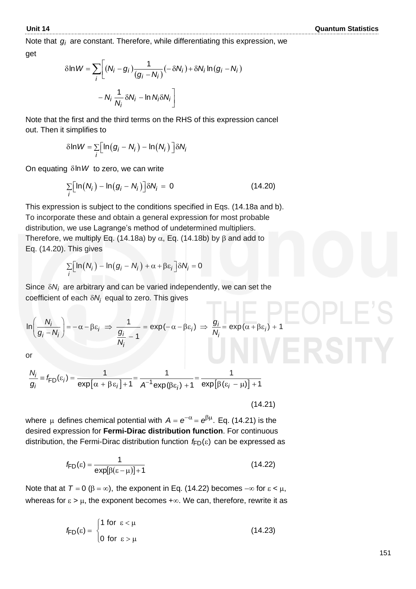Note that *gi* are constant. Therefore, while differentiating this expression, we get

$$
\delta \ln W = \sum_{i} \left[ (N_i - g_i) \frac{1}{(g_i - N_i)} (-\delta N_i) + \delta N_i \ln(g_i - N_i) - N_i \frac{1}{N_i} \delta N_i - \ln N_i \delta N_i \right]
$$

Note that the first and the third terms on the RHS of this expression cancel out. Then it simplifies to

simplifies to  
\n
$$
\delta \ln W = \sum_{i} [\ln (g_i - N_i) - \ln(N_i)] \delta N_i
$$

On equating δln W to zero, we can write

$$
\sum_{i} \left[ \ln(N_i) - \ln(g_i - N_i) \right] \delta N_i = 0 \tag{14.20}
$$

This expression is subject to the conditions specified in Eqs. (14.18a and b). To incorporate these and obtain a general expression for most probable distribution, we use Lagrange's method of undetermined multipliers. Therefore, we multiply Eq. (14.18a) by  $\alpha$ , Eq. (14.18b) by  $\beta$  and add to Eq. (14.20). This gives

This gives  
\n
$$
\sum_{i} \left[ ln(N_i) - ln(g_i - N_i) + \alpha + \beta \varepsilon_i \right] \delta N_i = 0
$$

Since  $\delta N_i$  are arbitrary and can be varied independently, we can set the

coefficient of each 
$$
\delta N_i
$$
 equal to zero. This gives  
\n
$$
\ln\left(\frac{N_i}{g_i - N_i}\right) = -\alpha - \beta \varepsilon_i \implies \frac{1}{\frac{g_i}{N_i} - 1} = \exp(-\alpha - \beta \varepsilon_i) \implies \frac{g_i}{N_i} = \exp(\alpha + \beta \varepsilon_i) + 1
$$

or

or  
\n
$$
\frac{N_i}{g_i} = f_{FD}(\varepsilon_i) = \frac{1}{\exp[\alpha + \beta \varepsilon_i] + 1} = \frac{1}{A^{-1} \exp(\beta \varepsilon_i) + 1} = \frac{1}{\exp[\beta(\varepsilon_i - \mu)] + 1}
$$

(14.21)

where  $\mu$  defines chemical potential with  $A = e^{-\alpha} = e^{\beta \mu}$ . Eq. (14.21) is the desired expression for **Fermi-Dirac distribution function**. For continuous distribution, the Fermi-Dirac distribution function *f*<sub>FD</sub>(ε) can be expressed as

$$
f_{FD}(\varepsilon) = \frac{1}{\exp[\beta(\varepsilon - \mu)] + 1}
$$
 (14.22)

Note that at  $T = 0$  ( $\beta = \infty$ ), the exponent in Eq. (14.22) becomes  $-\infty$  for  $\varepsilon < \mu$ , whereas for  $\epsilon > \mu$ , the exponent becomes  $+\infty$ . We can, therefore, rewrite it as

$$
f_{FD}(\varepsilon) = \begin{cases} 1 \text{ for } \varepsilon < \mu \\ 0 \text{ for } \varepsilon > \mu \end{cases}
$$
 (14.23)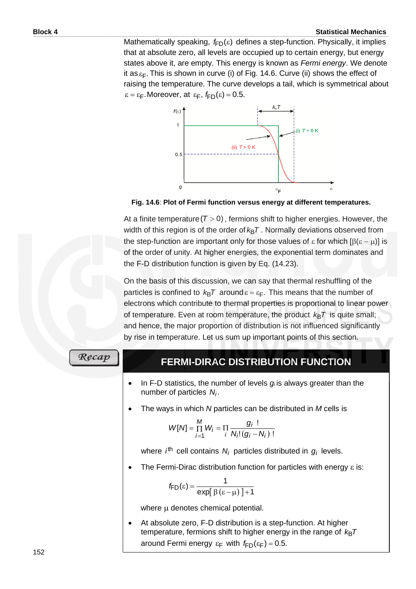#### **Block 4** Statistical Mechanics **Statistical Mechanics**

Mathematically speaking, *f*<sub>FD</sub>(ε) defines a step-function. Physically, it implies that at absolute zero, all levels are occupied up to certain energy, but energy states above it, are empty. This energy is known as *Fermi energy*. We denote it as $\varepsilon_{\mathsf{F}}.$  This is shown in curve (i) of Fig. 14.6. Curve (ii) shows the effect of raising the temperature. The curve develops a tail, which is symmetrical about  $\varepsilon = \varepsilon_{\text{F}}$ . Moreover, at  $\varepsilon_{\text{F}}$ ,  $f_{\text{FD}}(\varepsilon) = 0.5$ .



 **Fig. 14.6**: **Plot of Fermi function versus energy at different temperatures.**

At a finite temperature ( $T > 0$ ), fermions shift to higher energies. However, the width of this region is of the order of  $k_{\mathsf{B}}\mathcal{T}$  . Normally deviations observed from the step-function are important only for those values of  $\varepsilon$  for which  $[\beta(\varepsilon - \mu)]$  is of the order of unity. At higher energies, the exponential term dominates and the F-D distribution function is given by Eq. (14.23).

On the basis of this discussion, we can say that thermal reshuffling of the particles is confined to  $k_{\text{B}}T$  around  $\varepsilon = \varepsilon_{\text{F}}$ . This means that the number of electrons which contribute to thermal properties is proportional to linear power of temperature. Even at room temperature, the product  $k_{\mathsf{B}}\mathcal{T}$  is quite small; and hence, the major proportion of distribution is not influenced significantly by rise in temperature. Let us sum up important points of this section.

Recap

## **FERMI-DIRAC DISTRIBUTION FUNCTION**

- In F-D statistics, the number of levels  $g_i$  is always greater than the number of particles . *Ni*
- The ways in which *N* particles can be distributed in *M* cells is

$$
W[N] = \prod_{i=1}^{M} W_i = \prod_{i} \frac{g_i!}{N_i!(g_i - N_i)!}
$$

where *i*<sup>th</sup> cell contains N<sub>i</sub> particles distributed in  $g_i$  levels.

The Fermi-Dirac distribution function for particles with energy  $\varepsilon$  is:

$$
f_{FD}(\varepsilon) = \frac{1}{\exp[\beta(\varepsilon - \mu)] + 1}
$$

where  $\mu$  denotes chemical potential.

• At absolute zero, F-D distribution is a step-function. At higher temperature, fermions shift to higher energy in the range of *k*<sub>B</sub>7 around Fermi energy  $\epsilon_F$  with  $f_{FD}(\epsilon_F) = 0.5$ .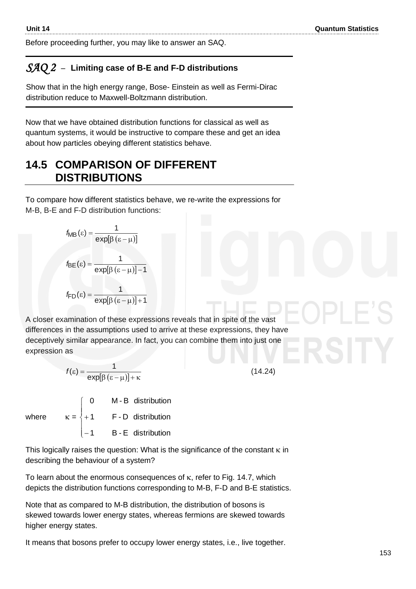Before proceeding further, you may like to answer an SAQ.

#### *SAQ 2* –**Limiting case of B-E and F-D distributions**

Show that in the high energy range, Bose- Einstein as well as Fermi-Dirac distribution reduce to Maxwell-Boltzmann distribution.

Now that we have obtained distribution functions for classical as well as quantum systems, it would be instructive to compare these and get an idea about how particles obeying different statistics behave.

# **14.5 COMPARISON OF DIFFERENT DISTRIBUTIONS**

To compare how different statistics behave, we re-write the expressions for M-B, B-E and F-D distribution functions:

$$
f_{MB}(\varepsilon) = \frac{1}{\exp[\beta(\varepsilon - \mu)]}
$$

$$
f_{BE}(\varepsilon) = \frac{1}{\exp[\beta(\varepsilon - \mu)] - 1}
$$

$$
f_{FD}(\varepsilon) = \frac{1}{\exp[\beta(\varepsilon - \mu)] + 1}
$$

A closer examination of these expressions reveals that in spite of the vast differences in the assumptions used to arrive at these expressions, they have deceptively similar appearance. In fact, you can combine them into just one expression as

(14.24)

$$
f(\varepsilon) = \frac{1}{\exp[\beta(\varepsilon - \mu)] + \kappa}
$$
  
where 
$$
\kappa = \begin{cases} 0 & \text{M - B distribution} \\ +1 & \text{F - D distribution} \\ -1 & \text{B - E distribution} \end{cases}
$$

This logically raises the question: What is the significance of the constant  $\kappa$  in describing the behaviour of a system?

To learn about the enormous consequences of  $\kappa$ , refer to Fig. 14.7, which depicts the distribution functions corresponding to M-B, F-D and B-E statistics.

Note that as compared to M-B distribution, the distribution of bosons is skewed towards lower energy states, whereas fermions are skewed towards higher energy states.

It means that bosons prefer to occupy lower energy states, i.e., live together.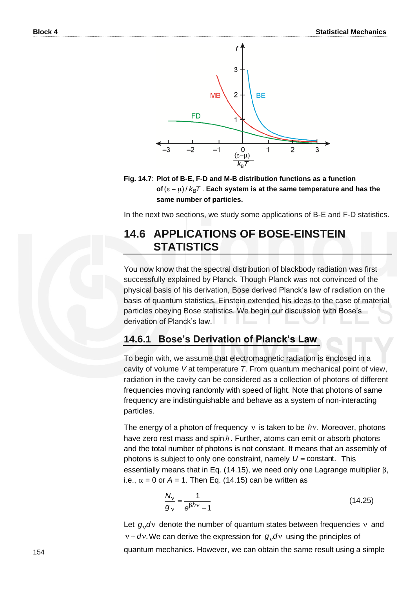

#### **Fig. 14.7**: **Plot of B-E, F-D and M-B distribution functions as a function**  of (ε − μ) / *k*<sub>B</sub>T . Each system is at the same temperature and has the **same number of particles.**

In the next two sections, we study some applications of B-E and F-D statistics.

## **14.6 APPLICATIONS OF BOSE-EINSTEIN STATISTICS**

You now know that the spectral distribution of blackbody radiation was first successfully explained by Planck. Though Planck was not convinced of the physical basis of his derivation, Bose derived Planck's law of radiation on the basis of quantum statistics. Einstein extended his ideas to the case of material particles obeying Bose statistics. We begin our discussion with Bose's derivation of Planck's law.

#### **14.6.1 Bose's Derivation of Planck's Law**

To begin with, we assume that electromagnetic radiation is enclosed in a cavity of volume *V* at temperature *T*. From quantum mechanical point of view, radiation in the cavity can be considered as a collection of photons of different frequencies moving randomly with speed of light. Note that photons of same frequency are indistinguishable and behave as a system of non-interacting particles.

The energy of a photon of frequency v is taken to be hv. Moreover, photons have zero rest mass and spin  $\hbar$ . Further, atoms can emit or absorb photons and the total number of photons is not constant. It means that an assembly of photons is subject to only one constraint, namely  $U =$  constant. This essentially means that in Eq. (14.15), we need only one Lagrange multiplier  $\beta$ , i.e.,  $\alpha$  = 0 or A = 1. Then Eq. (14.15) can be written as

$$
\frac{N_{\rm v}}{g_{\rm v}} = \frac{1}{e^{\beta h \rm v} - 1} \tag{14.25}
$$

Let  $g_y$ dv denote the number of quantum states between frequencies  $y$  and  $v + dv$ . We can derive the expression for  $g_v dv$  using the principles of quantum mechanics. However, we can obtain the same result using a simple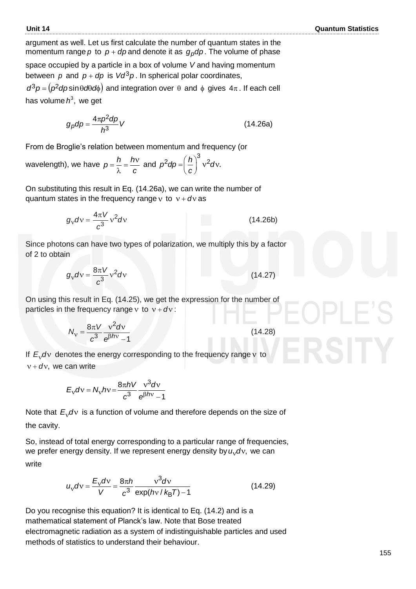argument as well. Let us first calculate the number of quantum states in the momentum range  $p$  to  $p + dp$  and denote it as  $g_p dp$ . The volume of phase space occupied by a particle in a box of volume *V* and having momentum between  $p$  and  $p + dp$  is  $Vd^3p$ . In spherical polar coordinates,

 $d^3p = (p^2dp\sin\theta d\theta d\phi)$  and integration over  $\theta$  and  $\phi$  gives  $4\pi$ . If each cell has volume*h*<sup>3</sup>, we get

$$
g_p dp = \frac{4\pi p^2 dp}{h^3} V \tag{14.26a}
$$

From de Broglie's relation between momentum and frequency (or

wavelength), we have  $p = \frac{n}{2}$  $\lambda$  $p = \frac{h}{\hat{p}} = \frac{hv}{v}$ *c* and  $p^2dp = \left(\frac{h}{c}\right)^3 v^2 dv$ .

On substituting this result in Eq. (14.26a), we can write the number of quantum states in the frequency range v to  $v + dv$  as

$$
g_{\rm V}d\rm v = \frac{4\pi V}{c^3}\rm v^2\rm dv \qquad (14.26b)
$$

Since photons can have two types of polarization, we multiply this by a factor of 2 to obtain

$$
g_{\rm v}d\rm v=\frac{8\pi V}{c^3}\rm v^2d\rm v\tag{14.27}
$$

On using this result in Eq. (14.25), we get the expression for the number of particles in the frequency range  $v$  to  $v + dv$ :

$$
N_{\rm v} = \frac{8\pi V}{c^3} \frac{v^2 dv}{e^{\beta hv} - 1}
$$
 (14.28)

If  $E_y$ dv denotes the energy corresponding to the frequency range v to  $v + dv$ , we can write

$$
E_{\rm v}dv = N_{\rm v}hv = \frac{8\pi hV}{c^3} \frac{v^3dv}{e^{\beta hv} - 1}
$$

Note that  $E_y$ d $y$  is a function of volume and therefore depends on the size of the cavity.

So, instead of total energy corresponding to a particular range of frequencies, we prefer energy density. If we represent energy density by  $u_y$ dv, we can write

$$
u_{\rm v}dv = \frac{E_{\rm v}dv}{V} = \frac{8\pi h}{c^3} \frac{v^3dv}{\exp(hv/k_BT) - 1}
$$
 (14.29)

Do you recognise this equation? It is identical to Eq. (14.2) and is a mathematical statement of Planck's law. Note that Bose treated electromagnetic radiation as a system of indistinguishable particles and used methods of statistics to understand their behaviour.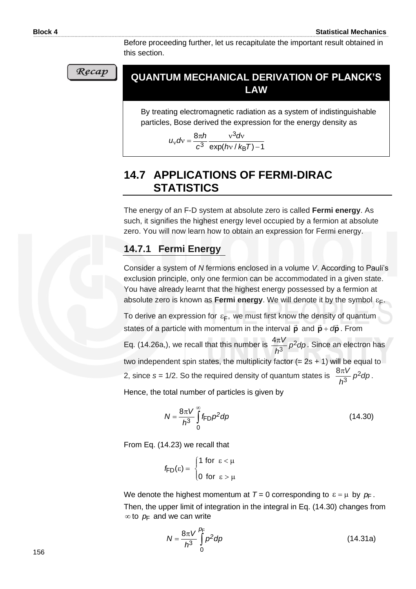Before proceeding further, let us recapitulate the important result obtained in this section.

#### **QUANTUM MECHANICAL DERIVATION OF PLANCK'S LAW**

By treating electromagnetic radiation as a system of indistinguishable particles, Bose derived the expression for the energy density as

$$
u_{\rm v}dv = \frac{8\pi h}{c^3} \frac{v^3dv}{\exp(hv/k_{\rm B}T)-1}
$$

# **14.7 APPLICATIONS OF FERMI-DIRAC STATISTICS**

The energy of an F-D system at absolute zero is called **Fermi energy**. As such, it signifies the highest energy level occupied by a fermion at absolute zero. You will now learn how to obtain an expression for Fermi energy.

## **14.7.1 Fermi Energy**

Consider a system of *N* fermions enclosed in a volume *V*. According to Pauli's exclusion principle, only one fermion can be accommodated in a given state. You have already learnt that the highest energy possessed by a fermion at absolute zero is known as **Fermi energy**. We will denote it by the symbol  $\varepsilon_{\mathsf{F}}$ .

To derive an expression for  $\varepsilon_{\mathsf{F}},$  we must first know the density of quantum states of a particle with momentum in the interval  $\vec{p}$  and  $\vec{p}$  +  $d\vec{p}$ + *d* . From Eq. (14.26a,), we recall that this number is  $\frac{hc}{2} p^2 dp$ *h V* <sup>2</sup> 3  $\frac{4\pi V}{r^2}$  p<sup>2</sup>dp. Since an electron has two independent spin states, the multiplicity factor  $(= 2s + 1)$  will be equal to 2, since  $s = 1/2$ . So the required density of quantum states is  $\frac{3\pi}{2}$   $p^2dp$ *h*  $\frac{2V}{\pi^2}$ 3  $\frac{8\pi V}{r^2}p^2dp$ .

Hence, the total number of particles is given by

$$
N = \frac{8\pi V}{h^3} \int_{0}^{\infty} f_{FD} \rho^2 d\rho
$$
 (14.30)

From Eq. (14.23) we recall that

$$
\hbar \mathsf{F}_D(\varepsilon) = \begin{cases} 1 \text{ for } \varepsilon < \mu \\ 0 \text{ for } \varepsilon > \mu \end{cases}
$$

We denote the highest momentum at  $T = 0$  corresponding to  $\varepsilon = \mu$  by  $p_{\text{F}}$ . Then, the upper limit of integration in the integral in Eq. (14.30) changes from  $\infty$  to  $p$ <sub>F</sub> and we can write

$$
N = \frac{8\pi V}{h^3} \int_{0}^{p_{\overline{t}}} p^2 dp
$$
 (14.31a)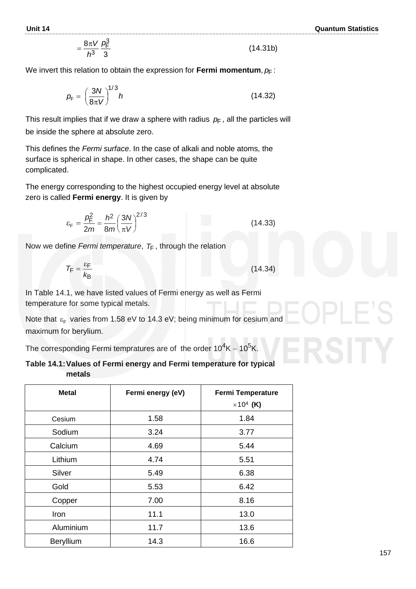$$
=\frac{8\pi V}{h^3}\frac{\rho_{\rm F}^3}{3}\tag{14.31b}
$$

We invert this relation to obtain the expression for **Fermi momentum**,  $\rho_{\mathsf{F}}$  :

$$
p_{\rm F} = \left(\frac{3N}{8\pi V}\right)^{1/3}h\tag{14.32}
$$

This result implies that if we draw a sphere with radius  $p_{\mathsf{F}}$  , all the particles will be inside the sphere at absolute zero.

This defines the *Fermi surface*. In the case of alkali and noble atoms, the surface is spherical in shape. In other cases, the shape can be quite complicated.

The energy corresponding to the highest occupied energy level at absolute zero is called **Fermi energy**. It is given by

$$
\varepsilon_{\rm F} = \frac{\rho_{\rm F}^2}{2m} = \frac{h^2}{8m} \left(\frac{3N}{\pi V}\right)^{2/3}
$$
 (14.33)

Now we define *Fermi temperature*, *T*<sup>F</sup> , through the relation

$$
T_{\rm F} = \frac{\varepsilon_{\rm F}}{k_{\rm B}}\tag{14.34}
$$

In Table 14.1, we have listed values of Fermi energy as well as Fermi temperature for some typical metals.

Note that  $\varepsilon_{\textsf{F}}$  varies from 1.58 eV to 14.3 eV; being minimum for cesium and maximum for berylium.

The corresponding Fermi tempratures are of the order  $10^4$ K – 10<sup>5</sup>

| Table 14.1: Values of Fermi energy and Fermi temperature for typical |  |  |
|----------------------------------------------------------------------|--|--|
| metals                                                               |  |  |

| <b>Metal</b> | Fermi energy (eV) | <b>Fermi Temperature</b><br>$\times 10^4$ (K) |
|--------------|-------------------|-----------------------------------------------|
| Cesium       | 1.58              | 1.84                                          |
| Sodium       | 3.24              | 3.77                                          |
| Calcium      | 4.69              | 5.44                                          |
| Lithium      | 4.74              | 5.51                                          |
| Silver       | 5.49              | 6.38                                          |
| Gold         | 5.53              | 6.42                                          |
| Copper       | 7.00              | 8.16                                          |
| Iron         | 11.1              | 13.0                                          |
| Aluminium    | 11.7              | 13.6                                          |
| Beryllium    | 14.3              | 16.6                                          |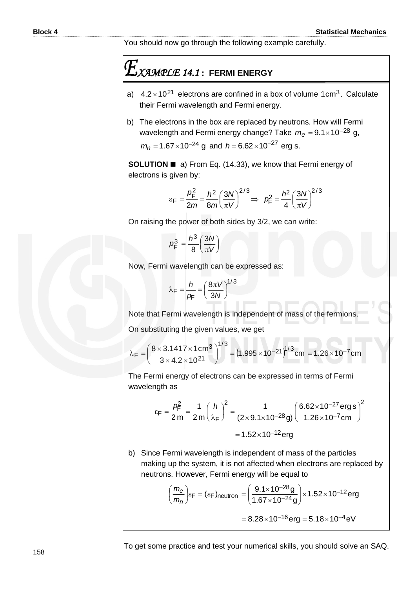You should now go through the following example carefully.

# *XAMPLE 14.1* **: FERMI ENERGY**

- a)  $4.2 \times 10^{21}$  electrons are confined in a box of volume 1 cm<sup>3</sup>. Calculate their Fermi wavelength and Fermi energy.
- b) The electrons in the box are replaced by neutrons. How will Fermi wavelength and Fermi energy change? Take  $m_{e}$  = 9.1×10<sup>−28</sup> g,  $m_n = 1.67 \times 10^{-24}$  g and  $h = 6.62 \times 10^{-27}$  erg s.

**SOLUTION** ◼ a) From Eq. (14.33), we know that Fermi energy of electrons is given by:

$$
\epsilon_{\rm F} = \frac{p_{\rm F}^2}{2m} = \frac{h^2}{8m} \left(\frac{3N}{\pi V}\right)^{2/3} \Rightarrow p_{\rm F}^2 = \frac{h^2}{4} \left(\frac{3N}{\pi V}\right)^{2/3}
$$

On raising the power of both sides by 3/2, we can write:

$$
p_{\rm F}^3 = \frac{h^3}{8} \left(\frac{3N}{\pi V}\right)
$$

Now, Fermi wavelength can be expressed as:

$$
\lambda_F = \frac{h}{p_F} = \left(\frac{8\pi V}{3N}\right)^{1/3}
$$

Note that Fermi wavelength is independent of mass of the fermions. On substituting the given values, we get

$$
\lambda_F = \left(\frac{8 \times 3.1417 \times 1 \text{ cm}^3}{3 \times 4.2 \times 10^{21}}\right)^{1/3} = \left(1.995 \times 10^{-21}\right)^{1/3} \text{cm} = 1.26 \times 10^{-7} \text{cm}
$$

The Fermi energy of electrons can be expressed in terms of Fermi wavelength as

$$
\epsilon_F = \frac{p_F^2}{2m} = \frac{1}{2m} \left(\frac{h}{\lambda_F}\right)^2 = \frac{1}{(2 \times 9.1 \times 10^{-28} \text{ g})} \left(\frac{6.62 \times 10^{-27} \text{ erg s}}{1.26 \times 10^{-7} \text{ cm}}\right)^2
$$

$$
= 1.52 \times 10^{-12} \text{ erg}
$$

b) Since Fermi wavelength is independent of mass of the particles making up the system, it is not affected when electrons are replaced by neutrons. However, Fermi energy will be equal to

$$
\left(\frac{m_{\theta}}{m_{n}}\right)\varepsilon_{F} = (\varepsilon_{F})_{\text{neutron}} = \left(\frac{9.1 \times 10^{-28} \text{g}}{1.67 \times 10^{-24} \text{g}}\right) \times 1.52 \times 10^{-12} \text{erg}
$$

$$
= 8.28 \times 10^{-16} \text{erg} = 5.18 \times 10^{-4} \text{eV}
$$

To get some practice and test your numerical skills, you should solve an SAQ.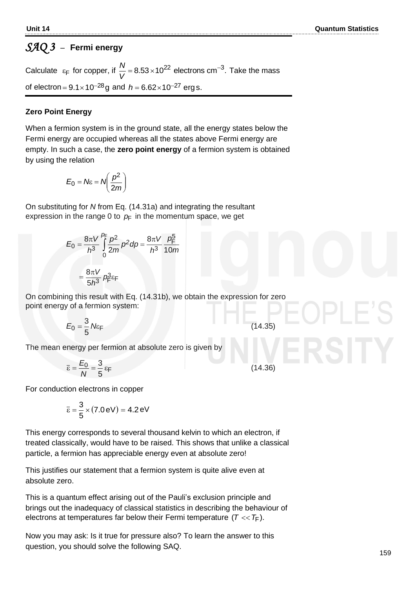# *SAQ 3* –**Fermi energy**

Calculate  $\varepsilon_F$  for copper, if  $\frac{N}{V} = 8.53 \times 10^{22}$  electrons cm<sup>-3</sup>. of electron =  $9.1 \times 10^{-28}$ g and  $h = 6.62 \times 10^{-27}$  erg s. Take the mass

#### **Zero Point Energy**

When a fermion system is in the ground state, all the energy states below the Fermi energy are occupied whereas all the states above Fermi energy are empty. In such a case, the **zero point energy** of a fermion system is obtained by using the relation

$$
E_0 = N\epsilon = N\left(\frac{p^2}{2m}\right)
$$

On substituting for *N* from Eq. (14.31a) and integrating the resultant expression in the range 0 to  $p$ <sub>F</sub> in the momentum space, we get

$$
E_0 = \frac{8\pi V}{h^3} \int_0^{p_{\rm F}} \frac{p^2}{2m} p^2 dp = \frac{8\pi V}{h^3} \frac{p_{\rm F}^5}{10m}
$$

$$
= \frac{8\pi V}{5h^3} p_{\rm F}^3 \epsilon_{\rm F}
$$

On combining this result with Eq. (14.31b), we obtain the expression for zero point energy of a fermion system:

$$
E_0 = \frac{3}{5}N\varepsilon_F
$$
 (14.35)

The mean energy per fermion at absolute zero is given by

$$
\overline{\varepsilon} = \frac{E_0}{N} = \frac{3}{5} \varepsilon_F \tag{14.36}
$$

For conduction electrons in copper

$$
\overline{\epsilon} = \frac{3}{5} \times (7.0 \, \text{eV}) = 4.2 \, \text{eV}
$$

This energy corresponds to several thousand kelvin to which an electron, if treated classically, would have to be raised. This shows that unlike a classical particle, a fermion has appreciable energy even at absolute zero!

This justifies our statement that a fermion system is quite alive even at absolute zero.

This is a quantum effect arising out of the Pauli's exclusion principle and brings out the inadequacy of classical statistics in describing the behaviour of electrons at temperatures far below their Fermi temperature  $(T << T_\mathsf{F}).$ 

Now you may ask: Is it true for pressure also? To learn the answer to this question, you should solve the following SAQ.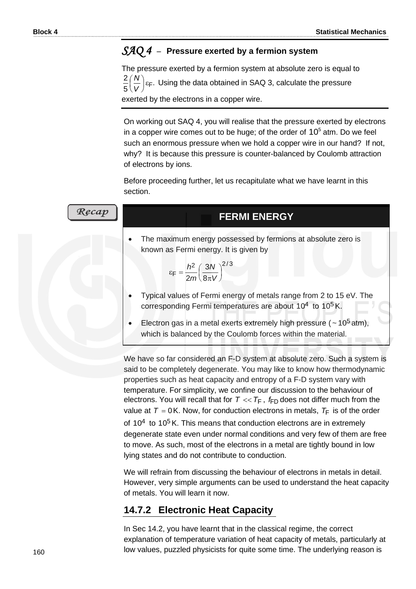#### *SAQ 4* –**Pressure exerted by a fermion system**

The pressure exerted by a fermion system at absolute zero is equal to<br>2.600   $\int_{\epsilon}$ . Using the data obtained in SAQ 3, calculate the pressure 5 2 J I  $\setminus$ ſ *V N*

exerted by the electrons in a copper wire.

On working out SAQ 4, you will realise that the pressure exerted by electrons in a copper wire comes out to be huge; of the order of  $10^5$  atm. Do we feel such an enormous pressure when we hold a copper wire in our hand? If not, why? It is because this pressure is counter-balanced by Coulomb attraction of electrons by ions.

Before proceeding further, let us recapitulate what we have learnt in this section.

| Recap | <b>FERMI ENERGY</b>                                                                                                                                   |
|-------|-------------------------------------------------------------------------------------------------------------------------------------------------------|
|       | The maximum energy possessed by fermions at absolute zero is<br>known as Fermi energy. It is given by                                                 |
|       | $\epsilon_F = \frac{h^2}{2m} \left(\frac{3N}{8\pi V}\right)^{2/3}$<br>Typical values of Fermi energy of metals range from 2 to 15 eV. The             |
|       | corresponding Fermi temperatures are about $10^4$ to $10^5$ K.                                                                                        |
|       | Electron gas in a metal exerts extremely high pressure ( $\sim$ 10 <sup>5</sup> atm),<br>which is balanced by the Coulomb forces within the material. |
|       | We have so far considered an F-D system at absolute zero. Such a syste<br>said to be completely degenerate. You may like to know how thermodyna       |

system is ıodynamic properties such as heat capacity and entropy of a F-D system vary with temperature. For simplicity, we confine our discussion to the behaviour of electrons. You will recall that for  $T \ll T_F$  ,  $f_{FD}$  does not differ much from the value at  $T = 0$  K. Now, for conduction electrons in metals,  $T_F$  is of the order of  $10<sup>4</sup>$  to  $10<sup>5</sup>$  K. This means that conduction electrons are in extremely degenerate state even under normal conditions and very few of them are free to move. As such, most of the electrons in a metal are tightly bound in low lying states and do not contribute to conduction.

We will refrain from discussing the behaviour of electrons in metals in detail. However, very simple arguments can be used to understand the heat capacity of metals. You will learn it now.

## **14.7.2 Electronic Heat Capacity**

In Sec 14.2, you have learnt that in the classical regime, the correct explanation of temperature variation of heat capacity of metals, particularly at low values, puzzled physicists for quite some time. The underlying reason is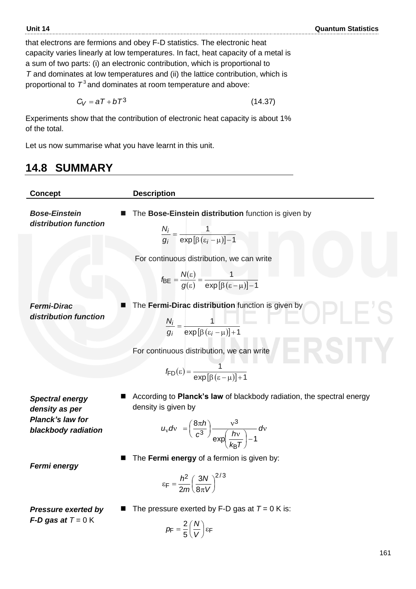that electrons are fermions and obey F-D statistics. The electronic heat capacity varies linearly at low temperatures. In fact, heat capacity of a metal is a sum of two parts: (i) an electronic contribution, which is proportional to *T* and dominates at low temperatures and (ii) the lattice contribution, which is proportional to  $\,T^3$  and dominates at room temperature and above:

$$
C_V = aT + bT^3 \tag{14.37}
$$

Experiments show that the contribution of electronic heat capacity is about 1% of the total.

Let us now summarise what you have learnt in this unit.

# **14.8 SUMMARY**

| <b>Concept</b>                                                                      | <b>Description</b>                                                                                                                                                                           |
|-------------------------------------------------------------------------------------|----------------------------------------------------------------------------------------------------------------------------------------------------------------------------------------------|
| <b>Bose-Einstein</b><br>distribution function                                       | The Bose-Einstein distribution function is given by<br>$\frac{N_i}{g_i} = \frac{1}{\exp\left[\beta(\varepsilon_i - \mu)\right] - 1}$                                                         |
|                                                                                     | For continuous distribution, we can write<br>$f_{\text{BE}} = \frac{N(\varepsilon)}{q(\varepsilon)} = \frac{1}{\exp[\beta(\varepsilon-\mu)]-1}$                                              |
| <b>Fermi-Dirac</b><br>distribution function                                         | The Fermi-Dirac distribution function is given by<br>$\frac{N_i}{g_i} = \frac{1}{\exp\left[\beta(\varepsilon_i - \mu)\right] + 1}$                                                           |
|                                                                                     | -KSII V<br>For continuous distribution, we can write<br>$f_{FD}(\varepsilon) = \frac{1}{\exp[(\varepsilon - \mu)] + 1}$                                                                      |
| <b>Spectral energy</b><br>density as per<br>Planck's law for<br>blackbody radiation | According to Planck's law of blackbody radiation, the spectral energy<br>density is given by<br>$u_v dv = \left(\frac{8\pi h}{c^3}\right) \frac{v^3}{\exp\left(\frac{h v}{c^2}\right)-1} dv$ |
| <b>Fermi energy</b>                                                                 | The Fermi energy of a fermion is given by:<br>$\epsilon_F = \frac{h^2}{2m} \left( \frac{3N}{8\pi V} \right)^{2/3}$                                                                           |
| <b>Pressure exerted by</b><br>$F-D$ gas at $T = 0$ K                                | The pressure exerted by F-D gas at $T = 0$ K is:<br>$p_F = \frac{2}{5} \left( \frac{N}{V} \right) \varepsilon_F$                                                                             |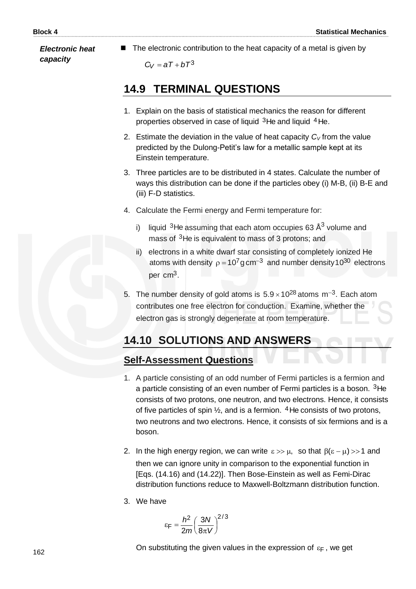*Electronic heat capacity* 

■ The electronic contribution to the heat capacity of a metal is given by

 $C_V = aT + bT^3$ 

# **14.9 TERMINAL QUESTIONS**

- 1. Explain on the basis of statistical mechanics the reason for different properties observed in case of liquid <sup>3</sup>He and liquid <sup>4</sup>He.
- 2. Estimate the deviation in the value of heat capacity  $C_V$  from the value predicted by the Dulong-Petit's law for a metallic sample kept at its Einstein temperature.
- 3. Three particles are to be distributed in 4 states. Calculate the number of ways this distribution can be done if the particles obey (i) M-B, (ii) B-E and (iii) F-D statistics.
- 4. Calculate the Fermi energy and Fermi temperature for:
	- i) liquid <sup>3</sup>He assuming that each atom occupies 63 Å<sup>3</sup> volume and mass of <sup>3</sup>He is equivalent to mass of 3 protons; and
	- ii) electrons in a white dwarf star consisting of completely ionized He atoms with density  $\rho = 10^7$  g cm<sup>-3</sup> and number density 10<sup>30</sup> electrons per cm<sup>3</sup>.
- 5. The number density of gold atoms is  $5.9 \times 10^{28}$  atoms m<sup>-3</sup>. Each atom contributes one free electron for conduction. Examine, whether the electron gas is strongly degenerate at room temperature.

# **14.10 SOLUTIONS AND ANSWERS**

## **Self-Assessment Questions**

- 1. A particle consisting of an odd number of Fermi particles is a fermion and a particle consisting of an even number of Fermi particles is a boson. <sup>3</sup>He consists of two protons, one neutron, and two electrons. Hence, it consists of five particles of spin  $\frac{1}{2}$ , and is a fermion. <sup>4</sup> He consists of two protons, two neutrons and two electrons. Hence, it consists of six fermions and is a boson.
- 2. In the high energy region, we can write  $\varepsilon \gg \mu$ , so that  $\beta(\varepsilon \mu) >> 1$  and then we can ignore unity in comparison to the exponential function in [Eqs. (14.16) and (14.22)]. Then Bose-Einstein as well as Femi-Dirac distribution functions reduce to Maxwell-Boltzmann distribution function.
- 3. We have

$$
\varepsilon_{\text{F}} = \frac{h^2}{2m} \left(\frac{3N}{8\pi V}\right)^{2/3}
$$

On substituting the given values in the expression of  $\varepsilon_{\mathsf{F}}$  , we get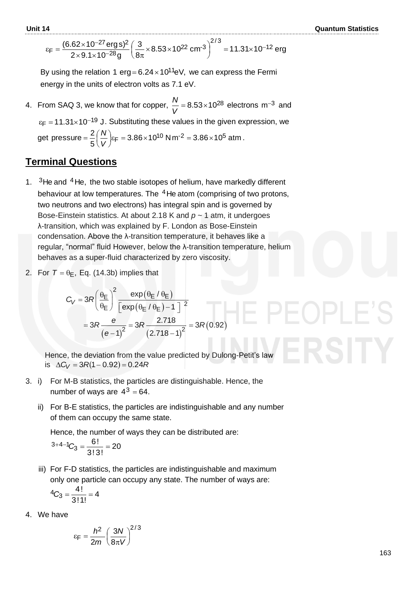$$
\epsilon_F = \frac{(6.62 \times 10^{-27} \text{ erg s})^2}{2 \times 9.1 \times 10^{-28} \text{ g}} \left(\frac{3}{8\pi} \times 8.53 \times 10^{22} \text{ cm}^{-3}\right)^{2/3} = 11.31 \times 10^{-12} \text{ erg}
$$

By using the relation 1 erg=6.24 $\times$ 10<sup>11</sup>eV, we can express the Fermi energy in the units of electron volts as 7.1 eV.

4. From SAQ 3, we know that for copper,  $\frac{1}{11}$  = 8.53×10<sup>28</sup> *V*  $\frac{N}{N}$  = 8.53×10<sup>28</sup> electrons m<sup>-3</sup> and  $\varepsilon_{\text{F}}$  =11.31×10<sup>-19</sup> J. Substituting these values in the given expression, we get pressure =  $\frac{2}{\epsilon}$   $\left| \frac{1}{\epsilon} \right|$   $\epsilon$   $\epsilon$  = 3.86 $\times$ 10<sup>10</sup> Nm<sup>-2</sup> = 3.86 $\times$ 10<sup>5</sup> atm 5 pressure =  $\frac{2}{5} \left( \frac{N}{V} \right)$  $\epsilon_{\mathsf{F}} = 3.86 \times 10^{10}$  N m<sup>-2</sup> =  $3.86 \times 10^5$  $\left(\frac{N}{V}\right)$  $=\frac{2}{5}$ *V*  $\frac{N}{N}$ <sub>EF</sub> = 3.86×10<sup>10</sup> Nm<sup>-2</sup> = 3.86×10<sup>5</sup> atm.

#### **Terminal Questions**

- 1.  $3$ He and  $4$ He, the two stable isotopes of helium, have markedly different behaviour at low temperatures. The <sup>4</sup>He atom (comprising of two protons, two neutrons and two electrons) has integral spin and is governed by Bose-Einstein statistics. At about 2.18 K and *p* ~ 1 atm, it undergoes λ-transition, which was explained by F. London as Bose-Einstein condensation. Above the λ-transition temperature, it behaves like a regular, "normal" fluid However, below the λ-transition temperature, helium behaves as a super-fluid characterized by zero viscosity.
- 2. For  $T = \theta_{\text{E}}$ , Eq. (14.3b) implies that

$$
\theta_{\text{E}}, \text{ Eq. (14.3b) implies that}
$$
\n
$$
C_V = 3R \left(\frac{\theta_{\text{E}}}{\theta_{\text{E}}}\right)^2 \frac{\exp(\theta_{\text{E}}/\theta_{\text{E}})}{\left[\exp(\theta_{\text{E}}/\theta_{\text{E}})-1\right]^2}
$$
\n
$$
= 3R \frac{e}{\left(e-1\right)^2} = 3R \frac{2.718}{\left(2.718-1\right)^2} = 3R(0.92)
$$

 Hence, the deviation from the value predicted by Dulong-Petit's law  $Hence, the deviation from the \nu is  $\Delta C_V = 3R(1-0.92) = 0.24R$$ 

- 3. i) For M-B statistics, the particles are distinguishable. Hence, the number of ways are  $4^3 = 64$ .
	- ii) For B-E statistics, the particles are indistinguishable and any number of them can occupy the same state.

Hence, the number of ways they can be distributed are:

$$
3+4-1C_3=\frac{6!}{3!3!}=20
$$

 iii) For F-D statistics, the particles are indistinguishable and maximum only one particle can occupy any state. The number of ways are:

$$
{}^4C_3 = \frac{4!}{3!1!} = 4
$$

4. We have

$$
\varepsilon_{\text{F}} = \frac{h^2}{2m} \left(\frac{3N}{8\pi V}\right)^{2/3}
$$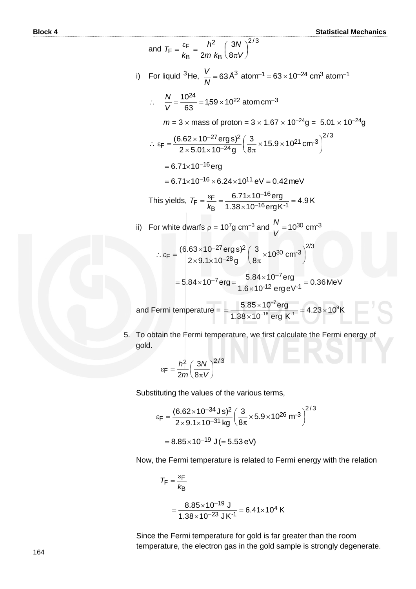and 
$$
T_F = \frac{\varepsilon_F}{k_B} = \frac{h^2}{2m k_B} \left(\frac{3N}{8\pi V}\right)^{2/3}
$$
  
\ni) For liquid <sup>3</sup>He,  $\frac{V}{N} = 63 \text{ Å}^3 \text{ atom}^{-1} = 63 \times 10^{-24} \text{ cm}^3 \text{ atom}^{-1}$   
\n $\therefore \frac{N}{V} = \frac{10^{24}}{63} = 1,59 \times 10^{22} \text{ atom cm}^{-3}$   
\n $m = 3 \times \text{mass of proton} = 3 \times 1.67 \times 10^{-24} \text{g} = 5.01 \times 10^{-24} \text{g}$   
\n $\therefore \varepsilon_F = \frac{(6.62 \times 10^{-27} \text{ erg s})^2}{2 \times 5.01 \times 10^{-24} \text{g}} \left(\frac{3}{8\pi} \times 15.9 \times 10^{21} \text{ cm}^{-3}\right)^{2/3}$   
\n $= 6.71 \times 10^{-16} \text{ erg}$   
\n $= 6.71 \times 10^{-16} \times 6.24 \times 10^{11} \text{ eV} = 0.42 \text{ meV}$   
\nThis yields,  $T_F = \frac{\varepsilon_F}{k_B} = \frac{6.71 \times 10^{-16} \text{ erg}}{1.38 \times 10^{-16} \text{ erg K}^{-1}} = 4.9 \text{ K}$   
\nii) For white dwarfs  $p = 10^7 \text{g cm}^{-3}$  and  $\frac{N}{V} = 10^{30} \text{ cm}^{-3}$   
\n $\therefore \varepsilon_F = \frac{(6.63 \times 10^{-27} \text{ erg s})^2}{2 \times 9.1 \times 10^{-28} \text{g}} \left(\frac{3}{8\pi} \times 10^{30} \text{ cm}^{-3}\right)^{2/3}$   
\n $= 5.84 \times 10^{-7} \text{ erg} = \frac{5.84 \times 10^{-7} \text{ erg}}{1.6 \times 10^{-12} \text{ erg eV}^{-1}} = 0.36 \text{ MeV}$   
\nand Fermi temperature  $= \frac{5.85$ 

5. To obtain the Fermi temperature, we first calculate the Fermi energy of gold.

$$
\epsilon_{\text{F}} = \frac{h_{\perp}^2}{2m} \left(\frac{3N}{8\pi V}\right)^{2/3}
$$

Substituting the values of the various terms,

$$
\varepsilon_{F} = \frac{(6.62 \times 10^{-34} \text{ J s})^2}{2 \times 9.1 \times 10^{-31} \text{ kg}} \left(\frac{3}{8\pi} \times 5.9 \times 10^{26} \text{ m}^{-3}\right)^{2/3}
$$

$$
= 8.85 \times 10^{-19} \text{ J} (= 5.53 \text{ eV})
$$

Now, the Fermi temperature is related to Fermi energy with the relation

$$
T_F = \frac{\varepsilon_F}{k_B}
$$
  
= 
$$
\frac{8.85 \times 10^{-19} \text{ J}}{1.38 \times 10^{-23} \text{ J K}^{-1}} = 6.41 \times 10^4 \text{ K}
$$

Since the Fermi temperature for gold is far greater than the room temperature, the electron gas in the gold sample is strongly degenerate.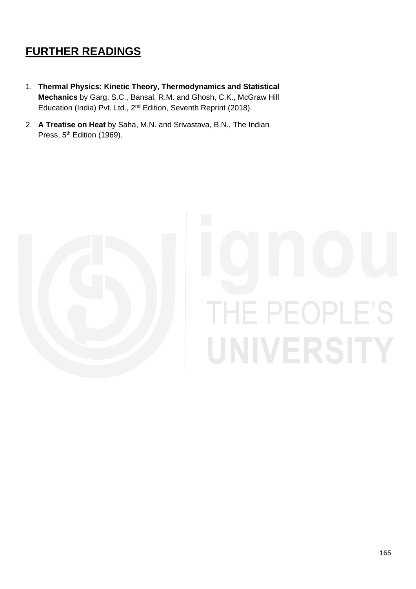# **FURTHER READINGS**

- 1. **Thermal Physics: Kinetic Theory, Thermodynamics and Statistical Mechanics** by Garg, S.C., Bansal, R.M. and Ghosh, C.K., McGraw Hill Education (India) Pvt. Ltd., 2<sup>nd</sup> Edition, Seventh Reprint (2018).
- 2. **A Treatise on Heat** by Saha, M.N. and Srivastava, B.N., The Indian Press, 5<sup>th</sup> Edition (1969).



# THE PEOPLE'S UNIVERSITY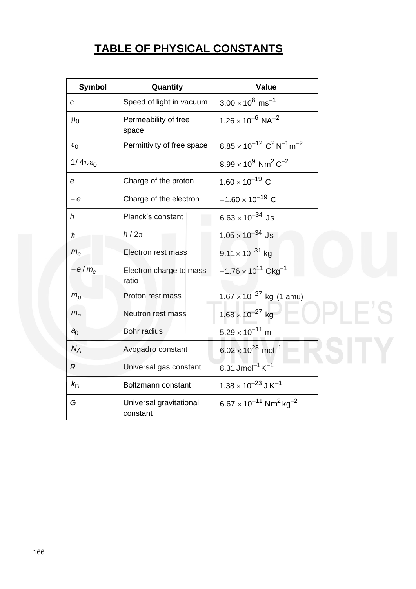# **TABLE OF PHYSICAL CONSTANTS**

| <b>Symbol</b>      | Quantity                            | <b>Value</b>                                                     |
|--------------------|-------------------------------------|------------------------------------------------------------------|
| $\boldsymbol{c}$   | Speed of light in vacuum            | $3.00 \times 10^8$ ms <sup>-1</sup>                              |
| $\mu_0$            | Permeability of free<br>space       | $1.26 \times 10^{-6}$ NA <sup>-2</sup>                           |
| $\varepsilon_0$    | Permittivity of free space          | $8.85 \times 10^{-12} \text{ C}^2 \text{ N}^{-1} \text{ m}^{-2}$ |
| $1/4\pi\epsilon_0$ |                                     | $8.99 \times 10^9$ Nm <sup>2</sup> C <sup>-2</sup>               |
| e                  | Charge of the proton                | $1.60 \times 10^{-19}$ C                                         |
| $-e$               | Charge of the electron              | $-1.60 \times 10^{-19}$ C                                        |
| $\hbar$            | Planck's constant                   | $6.63 \times 10^{-34}$ Js                                        |
| $\hbar$            | $h/2\pi$                            | $1.05 \times 10^{-34}$ Js                                        |
| $m_e$              | Electron rest mass                  | $9.11 \times 10^{-31}$ kg                                        |
| $-e/m_e$           | Electron charge to mass<br>ratio    | $-1.76 \times 10^{11}$ Ckg <sup>-1</sup>                         |
| $m_p$              | Proton rest mass                    | $1.67 \times 10^{-27}$ kg (1 amu)                                |
| $m_n$              | <b>Neutron rest mass</b>            | $1.68 \times 10^{-27}$ kg                                        |
| a <sub>0</sub>     | Bohr radius                         | $5.29 \times 10^{-11}$ m                                         |
| $N_A$              | Avogadro constant                   | $6.02 \times 10^{23}$ mol <sup>-1</sup>                          |
| $R_{\rm}$          | Universal gas constant              | 8.31 Jmol <sup>-1</sup> $K^{-1}$                                 |
| $k_{\rm B}$        | Boltzmann constant                  | $1.38 \times 10^{-23}$ J K <sup>-1</sup>                         |
| G                  | Universal gravitational<br>constant | $6.67 \times 10^{-11}$ Nm <sup>2</sup> kg <sup>-2</sup>          |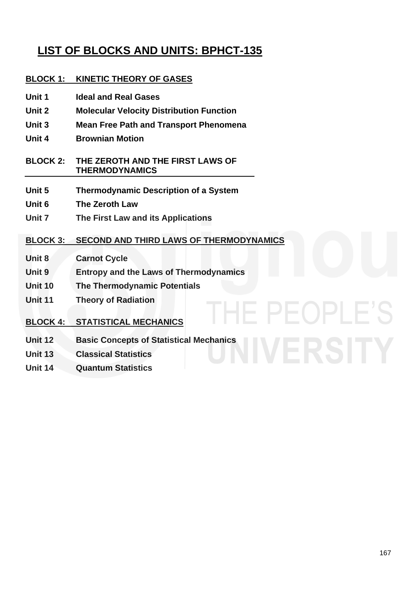# **LIST OF BLOCKS AND UNITS: BPHCT-135**

#### **BLOCK 1: KINETIC THEORY OF GASES**

- **Unit 1 Ideal and Real Gases**
- **Unit 2 Molecular Velocity Distribution Function**
- **Unit 3 Mean Free Path and Transport Phenomena**
- **Unit 4 Brownian Motion**

**BLOCK 2: THE ZEROTH AND THE FIRST LAWS OF THERMODYNAMICS**

- **Unit 5 Thermodynamic Description of a System**
- **Unit 6 The Zeroth Law**
- **Unit 7 The First Law and its Applications**

#### **BLOCK 3: SECOND AND THIRD LAWS OF THERMODYNAMICS**

- **Unit 8 Carnot Cycle**
- **Unit 9 Entropy and the Laws of Thermodynamics**
- **Unit 10 The Thermodynamic Potentials**
- **Unit 11 Theory of Radiation**

#### **BLOCK 4: STATISTICAL MECHANICS**

- **Unit 12 Basic Concepts of Statistical Mechanics**
- **Unit 13 Classical Statistics**
- **Unit 14 Quantum Statistics**

IE PEOPLE'S